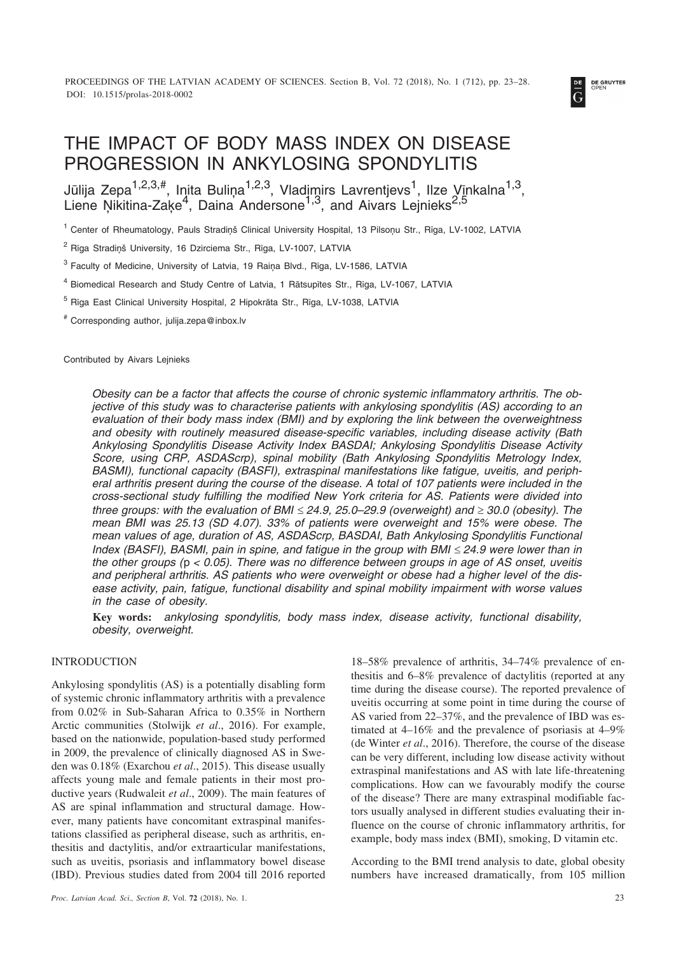

# THE IMPACT OF BODY MASS INDEX ON DISEASE PROGRESSION IN ANKYLOSING SPONDYLITIS

Jūlija Zepa<sup>1,2,3,#</sup>, Inita Buliņa<sup>1,2,3</sup>, Vladimirs Lavrentjevs<sup>1</sup>, Ilze Vīnkalna<sup>1,3</sup>, Liene Ņikitina-Zaķe<sup>4</sup>, Daina Andersone<sup>1,3</sup>, and Aivars Lejnieks<sup>2,5</sup>

<sup>1</sup> Center of Rheumatology, Pauls Stradinš Clinical University Hospital, 13 Pilsonu Str., Rīga, LV-1002, LATVIA

<sup>2</sup> Rīga Stradinš University, 16 Dzirciema Str., Rīga, LV-1007, LATVIA

 $3$  Faculty of Medicine, University of Latvia, 19 Raina Blvd., Rīga, LV-1586, LATVIA

<sup>4</sup> Biomedical Research and Study Centre of Latvia, 1 Râtsupîtes Str., Rîga, LV-1067, LATVIA

<sup>5</sup> Rîga East Clinical University Hospital, 2 Hipokrâta Str., Rîga, LV-1038, LATVIA

# Corresponding author, julija.zepa@inbox.lv

Contributed by Aivars Lejnieks

*Obesity can be a factor that affects the course of chronic systemic inflammatory arthritis. The objective of this study was to characterise patients with ankylosing spondylitis (AS) according to an evaluation of their body mass index (BMI) and by exploring the link between the overweightness and obesity with routinely measured disease-specific variables, including disease activity (Bath Ankylosing Spondylitis Disease Activity Index BASDAI; Ankylosing Spondylitis Disease Activity Score, using CRP, ASDAScrp), spinal mobility (Bath Ankylosing Spondylitis Metrology Index, BASMI), functional capacity (BASFI), extraspinal manifestations like fatigue, uveitis, and peripheral arthritis present during the course of the disease. A total of 107 patients were included in the cross-sectional study fulfilling the modified New York criteria for AS. Patients were divided into three groups: with the evaluation of BMI - 24.9, 25.0–29.9 (overweight) and 30.0 (obesity). The mean BMI was 25.13 (SD 4.07). 33% of patients were overweight and 15% were obese. The mean values of age, duration of AS, ASDAScrp, BASDAI, Bath Ankylosing Spondylitis Functional* Index (BASFI), BASMI, pain in spine, and fatigue in the group with BMI  $\leq$  24.9 were lower than in *the other groups (*p *< 0.05). There was no difference between groups in age of AS onset, uveitis and peripheral arthritis. AS patients who were overweight or obese had a higher level of the disease activity, pain, fatigue, functional disability and spinal mobility impairment with worse values in the case of obesity.*

**Key words:** *ankylosing spondylitis, body mass index, disease activity, functional disability, obesity, overweight.*

# INTRODUCTION

Ankylosing spondylitis (AS) is a potentially disabling form of systemic chronic inflammatory arthritis with a prevalence from 0.02% in Sub-Saharan Africa to 0.35% in Northern Arctic communities (Stolwijk *et al*., 2016). For example, based on the nationwide, population-based study performed in 2009, the prevalence of clinically diagnosed AS in Sweden was 0.18% (Exarchou *et al*., 2015). This disease usually affects young male and female patients in their most productive years (Rudwaleit *et al*., 2009). The main features of AS are spinal inflammation and structural damage. However, many patients have concomitant extraspinal manifestations classified as peripheral disease, such as arthritis, enthesitis and dactylitis, and/or extraarticular manifestations, such as uveitis, psoriasis and inflammatory bowel disease (IBD). Previous studies dated from 2004 till 2016 reported 18–58% prevalence of arthritis, 34–74% prevalence of enthesitis and 6–8% prevalence of dactylitis (reported at any time during the disease course). The reported prevalence of uveitis occurring at some point in time during the course of AS varied from 22–37%, and the prevalence of IBD was estimated at 4–16% and the prevalence of psoriasis at 4–9% (de Winter *et al*., 2016). Therefore, the course of the disease can be very different, including low disease activity without extraspinal manifestations and AS with late life-threatening complications. How can we favourably modify the course of the disease? There are many extraspinal modifiable factors usually analysed in different studies evaluating their influence on the course of chronic inflammatory arthritis, for example, body mass index (BMI), smoking, D vitamin etc.

According to the BMI trend analysis to date, global obesity numbers have increased dramatically, from 105 million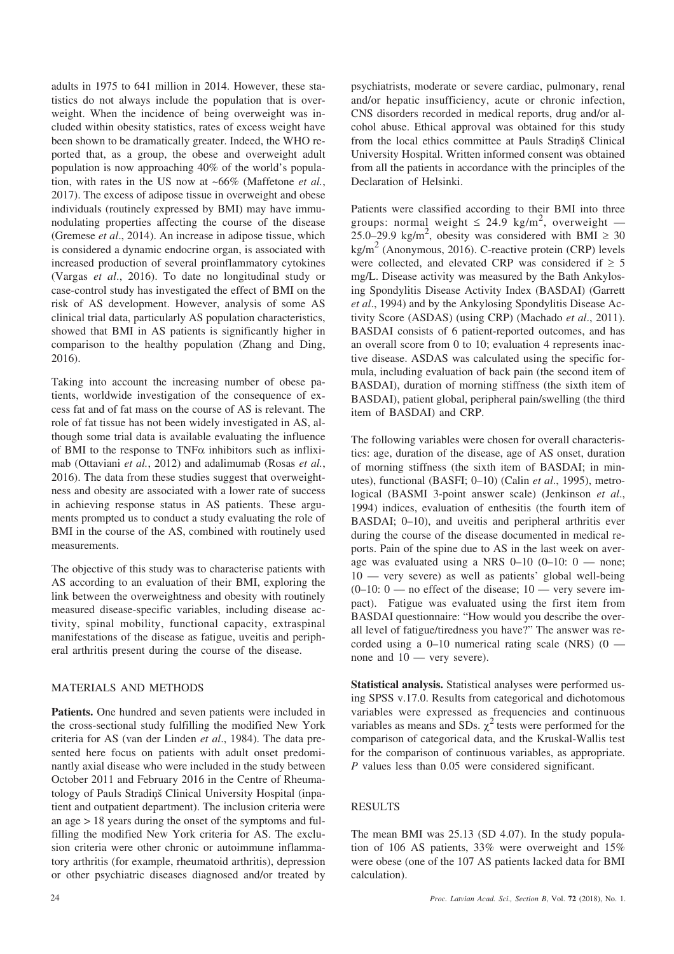adults in 1975 to 641 million in 2014. However, these statistics do not always include the population that is overweight. When the incidence of being overweight was included within obesity statistics, rates of excess weight have been shown to be dramatically greater. Indeed, the WHO reported that, as a group, the obese and overweight adult population is now approaching 40% of the world's population, with rates in the US now at ~66% (Maffetone *et al.*, 2017). The excess of adipose tissue in overweight and obese individuals (routinely expressed by BMI) may have immunodulating properties affecting the course of the disease (Gremese *et al*., 2014). An increase in adipose tissue, which is considered a dynamic endocrine organ, is associated with increased production of several proinflammatory cytokines (Vargas *et al*., 2016). To date no longitudinal study or case-control study has investigated the effect of BMI on the risk of AS development. However, analysis of some AS clinical trial data, particularly AS population characteristics, showed that BMI in AS patients is significantly higher in comparison to the healthy population (Zhang and Ding, 2016).

Taking into account the increasing number of obese patients, worldwide investigation of the consequence of excess fat and of fat mass on the course of AS is relevant. The role of fat tissue has not been widely investigated in AS, although some trial data is available evaluating the influence of BMI to the response to  $TNF\alpha$  inhibitors such as infliximab (Ottaviani *et al.*, 2012) and adalimumab (Rosas *et al.*, 2016). The data from these studies suggest that overweightness and obesity are associated with a lower rate of success in achieving response status in AS patients. These arguments prompted us to conduct a study evaluating the role of BMI in the course of the AS, combined with routinely used measurements.

The objective of this study was to characterise patients with AS according to an evaluation of their BMI, exploring the link between the overweightness and obesity with routinely measured disease-specific variables, including disease activity, spinal mobility, functional capacity, extraspinal manifestations of the disease as fatigue, uveitis and peripheral arthritis present during the course of the disease.

# MATERIALS AND METHODS

**Patients.** One hundred and seven patients were included in the cross-sectional study fulfilling the modified New York criteria for AS (van der Linden *et al*., 1984). The data presented here focus on patients with adult onset predominantly axial disease who were included in the study between October 2011 and February 2016 in the Centre of Rheumatology of Pauls Stradinš Clinical University Hospital (inpatient and outpatient department). The inclusion criteria were an age > 18 years during the onset of the symptoms and fulfilling the modified New York criteria for AS. The exclusion criteria were other chronic or autoimmune inflammatory arthritis (for example, rheumatoid arthritis), depression or other psychiatric diseases diagnosed and/or treated by

psychiatrists, moderate or severe cardiac, pulmonary, renal and/or hepatic insufficiency, acute or chronic infection, CNS disorders recorded in medical reports, drug and/or alcohol abuse. Ethical approval was obtained for this study from the local ethics committee at Pauls Stradiņš Clinical University Hospital. Written informed consent was obtained from all the patients in accordance with the principles of the Declaration of Helsinki.

Patients were classified according to their BMI into three groups: normal weight  $\leq 24.9$  kg/m<sup>2</sup>, overweight —  $25.0-29.9$  kg/m<sup>2</sup>, obesity was considered with BMI  $\geq 30$  $kg/m<sup>2</sup>$  (Anonymous, 2016). C-reactive protein (CRP) levels were collected, and elevated CRP was considered if  $\geq 5$ mg/L. Disease activity was measured by the Bath Ankylosing Spondylitis Disease Activity Index (BASDAI) (Garrett *et al*., 1994) and by the Ankylosing Spondylitis Disease Activity Score (ASDAS) (using CRP) (Machado *et al*., 2011). BASDAI consists of 6 patient-reported outcomes, and has an overall score from 0 to 10; evaluation 4 represents inactive disease. ASDAS was calculated using the specific formula, including evaluation of back pain (the second item of BASDAI), duration of morning stiffness (the sixth item of BASDAI), patient global, peripheral pain/swelling (the third item of BASDAI) and CRP.

The following variables were chosen for overall characteristics: age, duration of the disease, age of AS onset, duration of morning stiffness (the sixth item of BASDAI; in minutes), functional (BASFI; 0–10) (Calin *et al*., 1995), metrological (BASMI 3-point answer scale) (Jenkinson *et al*., 1994) indices, evaluation of enthesitis (the fourth item of BASDAI; 0-10), and uveitis and peripheral arthritis ever during the course of the disease documented in medical reports. Pain of the spine due to AS in the last week on average was evaluated using a NRS  $0-10$   $(0-10: 0$  — none; 10 — very severe) as well as patients' global well-being  $(0-10: 0$  — no effect of the disease;  $10$  — very severe impact). Fatigue was evaluated using the first item from BASDAI questionnaire: "How would you describe the overall level of fatigue/tiredness you have?" The answer was recorded using a  $0-10$  numerical rating scale (NRS)  $(0$ none and 10 — very severe).

**Statistical analysis.** Statistical analyses were performed using SPSS v.17.0. Results from categorical and dichotomous variables were expressed as frequencies and continuous variables as means and SDs.  $\chi^2$  tests were performed for the comparison of categorical data, and the Kruskal-Wallis test for the comparison of continuous variables, as appropriate. *P* values less than 0.05 were considered significant.

## RESULTS

The mean BMI was 25.13 (SD 4.07). In the study population of 106 AS patients, 33% were overweight and 15% were obese (one of the 107 AS patients lacked data for BMI calculation).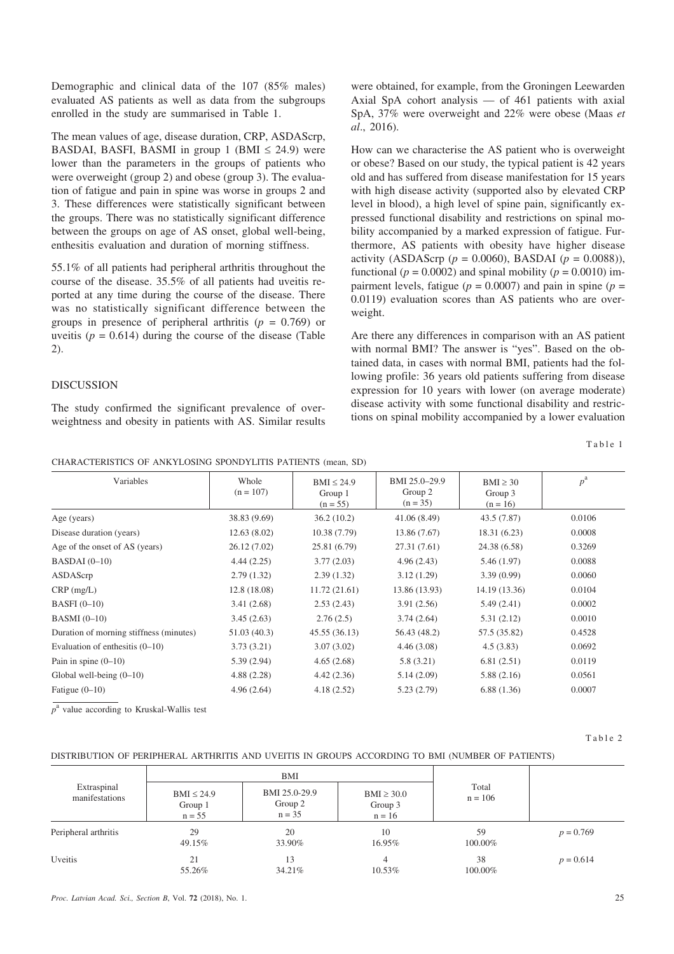Demographic and clinical data of the 107 (85% males) evaluated AS patients as well as data from the subgroups enrolled in the study are summarised in Table 1.

The mean values of age, disease duration, CRP, ASDAScrp, BASDAI, BASFI, BASMI in group 1 (BMI  $\leq$  24.9) were lower than the parameters in the groups of patients who were overweight (group 2) and obese (group 3). The evaluation of fatigue and pain in spine was worse in groups 2 and 3. These differences were statistically significant between the groups. There was no statistically significant difference between the groups on age of AS onset, global well-being, enthesitis evaluation and duration of morning stiffness.

55.1% of all patients had peripheral arthritis throughout the course of the disease. 35.5% of all patients had uveitis reported at any time during the course of the disease. There was no statistically significant difference between the groups in presence of peripheral arthritis (*p* = 0.769) or uveitis ( $p = 0.614$ ) during the course of the disease (Table 2).

## DISCUSSION

The study confirmed the significant prevalence of overweightness and obesity in patients with AS. Similar results were obtained, for example, from the Groningen Leewarden Axial SpA cohort analysis — of 461 patients with axial SpA, 37% were overweight and 22% were obese (Maas *et al*., 2016).

How can we characterise the AS patient who is overweight or obese? Based on our study, the typical patient is 42 years old and has suffered from disease manifestation for 15 years with high disease activity (supported also by elevated CRP level in blood), a high level of spine pain, significantly expressed functional disability and restrictions on spinal mobility accompanied by a marked expression of fatigue. Furthermore, AS patients with obesity have higher disease activity (ASDAScrp (*p* = 0.0060), BASDAI (*p* = 0.0088)), functional ( $p = 0.0002$ ) and spinal mobility ( $p = 0.0010$ ) impairment levels, fatigue ( $p = 0.0007$ ) and pain in spine ( $p =$ 0.0119) evaluation scores than AS patients who are overweight.

Are there any differences in comparison with an AS patient with normal BMI? The answer is "yes". Based on the obtained data, in cases with normal BMI, patients had the following profile: 36 years old patients suffering from disease expression for 10 years with lower (on average moderate) disease activity with some functional disability and restrictions on spinal mobility accompanied by a lower evaluation

Table 1

CHARACTERISTICS OF ANKYLOSING SPONDYLITIS PATIENTS (mean, SD)

| Variables                               | Whole<br>$(n = 107)$ | $BMI \leq 24.9$<br>Group 1<br>$(n = 55)$ | BMI 25.0-29.9<br>Group 2<br>$(n = 35)$ | $BMI \geq 30$<br>Group 3<br>$(n = 16)$ | $p^{\rm a}$ |
|-----------------------------------------|----------------------|------------------------------------------|----------------------------------------|----------------------------------------|-------------|
| Age (years)                             | 38.83 (9.69)         | 36.2(10.2)                               | 41.06(8.49)                            | 43.5 (7.87)                            | 0.0106      |
| Disease duration (years)                | 12.63(8.02)          | 10.38(7.79)                              | 13.86 (7.67)                           | 18.31 (6.23)                           | 0.0008      |
| Age of the onset of AS (years)          | 26.12 (7.02)         | 25.81 (6.79)                             | 27.31 (7.61)                           | 24.38 (6.58)                           | 0.3269      |
| $BASDAI (0-10)$                         | 4.44(2.25)           | 3.77(2.03)                               | 4.96(2.43)                             | 5.46(1.97)                             | 0.0088      |
| ASDAScrp                                | 2.79(1.32)           | 2.39(1.32)                               | 3.12(1.29)                             | 3.39(0.99)                             | 0.0060      |
| $CRP$ (mg/L)                            | 12.8 (18.08)         | 11.72(21.61)                             | 13.86 (13.93)                          | 14.19 (13.36)                          | 0.0104      |
| BASFI $(0-10)$                          | 3.41(2.68)           | 2.53(2.43)                               | 3.91(2.56)                             | 5.49(2.41)                             | 0.0002      |
| $BASMI(0-10)$                           | 3.45(2.63)           | 2.76(2.5)                                | 3.74(2.64)                             | 5.31(2.12)                             | 0.0010      |
| Duration of morning stiffness (minutes) | 51.03 (40.3)         | 45.55 (36.13)                            | 56.43 (48.2)                           | 57.5 (35.82)                           | 0.4528      |
| Evaluation of enthesitis $(0-10)$       | 3.73(3.21)           | 3.07(3.02)                               | 4.46(3.08)                             | 4.5(3.83)                              | 0.0692      |
| Pain in spine $(0-10)$                  | 5.39(2.94)           | 4.65(2.68)                               | 5.8(3.21)                              | 6.81(2.51)                             | 0.0119      |
| Global well-being $(0-10)$              | 4.88(2.28)           | 4.42(2.36)                               | 5.14(2.09)                             | 5.88(2.16)                             | 0.0561      |
| Fatigue $(0-10)$                        | 4.96(2.64)           | 4.18(2.52)                               | 5.23(2.79)                             | 6.88(1.36)                             | 0.0007      |

*p*<sup>a</sup> value according to Kruskal-Wallis test

Table 2

### DISTRIBUTION OF PERIPHERAL ARTHRITIS AND UVEITIS IN GROUPS ACCORDING TO BMI (NUMBER OF PATIENTS)

| Extraspinal<br>manifestations | BMI                                    |                                      |                                        |                    |             |
|-------------------------------|----------------------------------------|--------------------------------------|----------------------------------------|--------------------|-------------|
|                               | $BMI \leq 24.9$<br>Group 1<br>$n = 55$ | BMI 25.0-29.9<br>Group 2<br>$n = 35$ | $BMI \geq 30.0$<br>Group 3<br>$n = 16$ | Total<br>$n = 106$ |             |
| Peripheral arthritis          | 29<br>49.15%                           | 20<br>33.90%                         | 10<br>16.95%                           | 59<br>100.00%      | $p = 0.769$ |
| Uveitis                       | 21<br>55.26%                           | 13<br>34.21%                         | 4<br>10.53%                            | 38<br>100.00%      | $p = 0.614$ |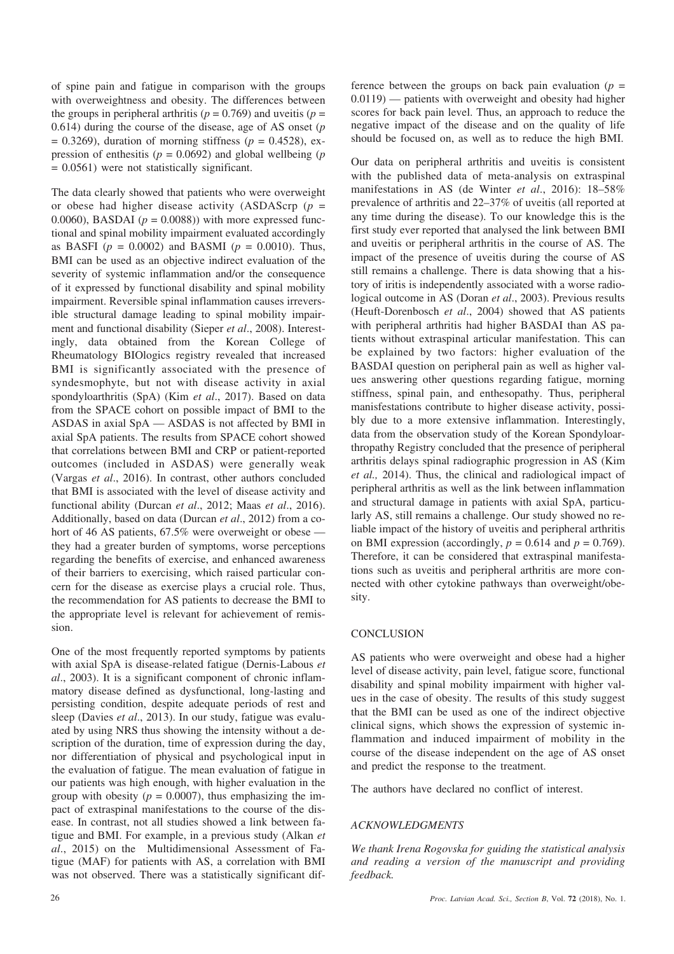of spine pain and fatigue in comparison with the groups with overweightness and obesity. The differences between the groups in peripheral arthritis ( $p = 0.769$ ) and uveitis ( $p =$ 0.614) during the course of the disease, age of AS onset (*p*  $= 0.3269$ ), duration of morning stiffness ( $p = 0.4528$ ), expression of enthesitis ( $p = 0.0692$ ) and global wellbeing ( $p = 0.0692$ ) = 0.0561) were not statistically significant.

The data clearly showed that patients who were overweight or obese had higher disease activity (ASDAScrp (*p* = 0.0060), BASDAI ( $p = 0.0088$ )) with more expressed functional and spinal mobility impairment evaluated accordingly as BASFI ( $p = 0.0002$ ) and BASMI ( $p = 0.0010$ ). Thus, BMI can be used as an objective indirect evaluation of the severity of systemic inflammation and/or the consequence of it expressed by functional disability and spinal mobility impairment. Reversible spinal inflammation causes irreversible structural damage leading to spinal mobility impairment and functional disability (Sieper *et al*., 2008). Interestingly, data obtained from the Korean College of Rheumatology BIOlogics registry revealed that increased BMI is significantly associated with the presence of syndesmophyte, but not with disease activity in axial spondyloarthritis (SpA) (Kim *et al*., 2017). Based on data from the SPACE cohort on possible impact of BMI to the ASDAS in axial SpA — ASDAS is not affected by BMI in axial SpA patients. The results from SPACE cohort showed that correlations between BMI and CRP or patient-reported outcomes (included in ASDAS) were generally weak (Vargas *et al*., 2016). In contrast, other authors concluded that BMI is associated with the level of disease activity and functional ability (Durcan *et al*., 2012; Maas *et al*., 2016). Additionally, based on data (Durcan *et al*., 2012) from a cohort of 46 AS patients, 67.5% were overweight or obese – they had a greater burden of symptoms, worse perceptions regarding the benefits of exercise, and enhanced awareness of their barriers to exercising, which raised particular concern for the disease as exercise plays a crucial role. Thus, the recommendation for AS patients to decrease the BMI to the appropriate level is relevant for achievement of remission.

One of the most frequently reported symptoms by patients with axial SpA is disease-related fatigue (Dernis-Labous *et al*., 2003). It is a significant component of chronic inflammatory disease defined as dysfunctional, long-lasting and persisting condition, despite adequate periods of rest and sleep (Davies *et al*., 2013). In our study, fatigue was evaluated by using NRS thus showing the intensity without a description of the duration, time of expression during the day, nor differentiation of physical and psychological input in the evaluation of fatigue. The mean evaluation of fatigue in our patients was high enough, with higher evaluation in the group with obesity ( $p = 0.0007$ ), thus emphasizing the impact of extraspinal manifestations to the course of the disease. In contrast, not all studies showed a link between fatigue and BMI. For example, in a previous study (Alkan *et al*., 2015) on the Multidimensional Assessment of Fatigue (MAF) for patients with AS, a correlation with BMI was not observed. There was a statistically significant difference between the groups on back pain evaluation ( $p =$ 0.0119) — patients with overweight and obesity had higher scores for back pain level. Thus, an approach to reduce the negative impact of the disease and on the quality of life should be focused on, as well as to reduce the high BMI.

Our data on peripheral arthritis and uveitis is consistent with the published data of meta-analysis on extraspinal manifestations in AS (de Winter *et al*., 2016): 18–58% prevalence of arthritis and 22–37% of uveitis (all reported at any time during the disease). To our knowledge this is the first study ever reported that analysed the link between BMI and uveitis or peripheral arthritis in the course of AS. The impact of the presence of uveitis during the course of AS still remains a challenge. There is data showing that a history of iritis is independently associated with a worse radiological outcome in AS (Doran *et al*., 2003). Previous results (Heuft-Dorenbosch *et al*., 2004) showed that AS patients with peripheral arthritis had higher BASDAI than AS patients without extraspinal articular manifestation. This can be explained by two factors: higher evaluation of the BASDAI question on peripheral pain as well as higher values answering other questions regarding fatigue, morning stiffness, spinal pain, and enthesopathy. Thus, peripheral manisfestations contribute to higher disease activity, possibly due to a more extensive inflammation. Interestingly, data from the observation study of the Korean Spondyloarthropathy Registry concluded that the presence of peripheral arthritis delays spinal radiographic progression in AS (Kim *et al.,* 2014). Thus, the clinical and radiological impact of peripheral arthritis as well as the link between inflammation and structural damage in patients with axial SpA, particularly AS, still remains a challenge. Our study showed no reliable impact of the history of uveitis and peripheral arthritis on BMI expression (accordingly,  $p = 0.614$  and  $p = 0.769$ ). Therefore, it can be considered that extraspinal manifestations such as uveitis and peripheral arthritis are more connected with other cytokine pathways than overweight/obesity.

# **CONCLUSION**

AS patients who were overweight and obese had a higher level of disease activity, pain level, fatigue score, functional disability and spinal mobility impairment with higher values in the case of obesity. The results of this study suggest that the BMI can be used as one of the indirect objective clinical signs, which shows the expression of systemic inflammation and induced impairment of mobility in the course of the disease independent on the age of AS onset and predict the response to the treatment.

The authors have declared no conflict of interest.

# *ACKNOWLEDGMENTS*

*We thank Irena Rogovska for guiding the statistical analysis and reading a version of the manuscript and providing feedback.*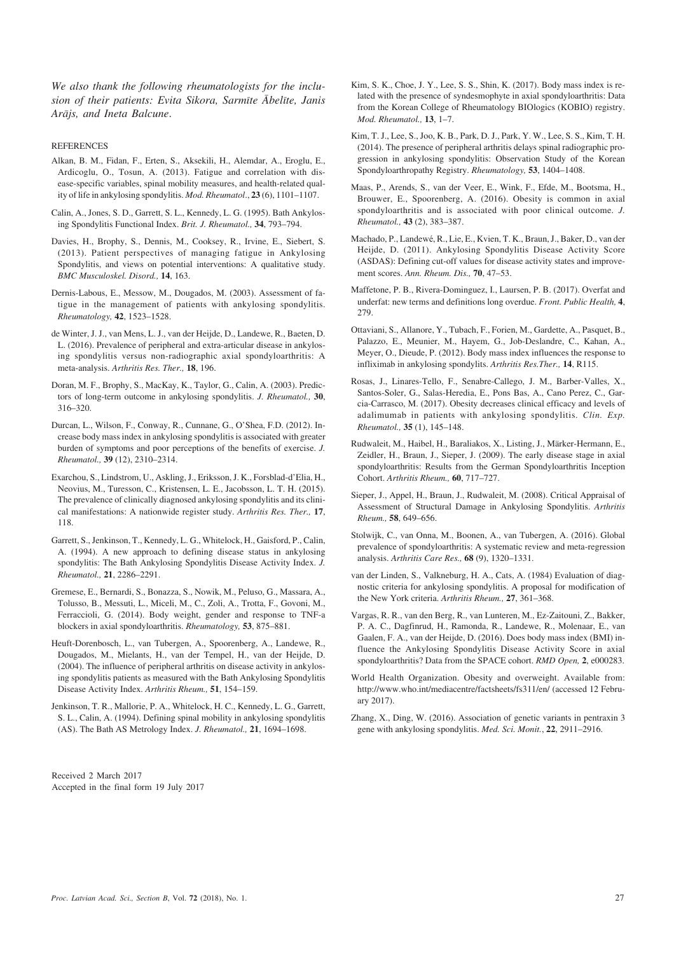*We also thank the following rheumatologists for the inclusion of their patients: Evita Sikora, Sarmîte Âbelîte, Janis Arâjs, and Ineta Balcune*.

**REFERENCES** 

- Alkan, B. M., Fidan, F., Erten, S., Aksekili, H., Alemdar, A., Eroglu, E., Ardicoglu, O., Tosun, A. (2013). Fatigue and correlation with disease-specific variables, spinal mobility measures, and health-related quality of life in ankylosing spondylitis. *Mod. Rheumatol*., **23** (6), 1101–1107.
- Calin, A., Jones, S. D., Garrett, S. L., Kennedy, L. G. (1995). Bath Ankylosing Spondylitis Functional Index. *Brit. J. Rheumatol.,* **34**, 793–794.
- Davies, H., Brophy, S., Dennis, M., Cooksey, R., Irvine, E., Siebert, S. (2013). Patient perspectives of managing fatigue in Ankylosing Spondylitis, and views on potential interventions: A qualitative study. *BMC Musculoskel. Disord.,* **14**, 163.
- Dernis-Labous, E., Messow, M., Dougados, M. (2003). Assessment of fatigue in the management of patients with ankylosing spondylitis. *Rheumatology,* **42**, 1523–1528.
- de Winter, J. J., van Mens, L. J., van der Heijde, D., Landewe, R., Baeten, D. L. (2016). Prevalence of peripheral and extra-articular disease in ankylosing spondylitis versus non-radiographic axial spondyloarthritis: A meta-analysis. *Arthritis Res. Ther.,* **18**, 196.
- Doran, M. F., Brophy, S., MacKay, K., Taylor, G., Calin, A. (2003). Predictors of long-term outcome in ankylosing spondylitis. *J. Rheumatol.,* **30**, 316–320.
- Durcan, L., Wilson, F., Conway, R., Cunnane, G., O'Shea, F.D. (2012). Increase body mass index in ankylosing spondylitis is associated with greater burden of symptoms and poor perceptions of the benefits of exercise. *J. Rheumatol.,* **39** (12), 2310–2314.
- Exarchou, S., Lindstrom, U., Askling, J., Eriksson, J. K., Forsblad-d'Elia, H., Neovius, M., Turesson, C., Kristensen, L. E., Jacobsson, L. T. H. (2015). The prevalence of clinically diagnosed ankylosing spondylitis and its clinical manifestations: A nationwide register study. *Arthritis Res. Ther.,* **17**, 118.
- Garrett, S., Jenkinson, T., Kennedy, L. G., Whitelock, H., Gaisford, P., Calin, A. (1994). A new approach to defining disease status in ankylosing spondylitis: The Bath Ankylosing Spondylitis Disease Activity Index. *J. Rheumatol.,* **21**, 2286–2291.
- Gremese, E., Bernardi, S., Bonazza, S., Nowik, M., Peluso, G., Massara, A., Tolusso, B., Messuti, L., Miceli, M., C., Zoli, A., Trotta, F., Govoni, M., Ferraccioli, G. (2014). Body weight, gender and response to TNF-a blockers in axial spondyloarthritis. *Rheumatology,* **53**, 875–881.
- Heuft-Dorenbosch, L., van Tubergen, A., Spoorenberg, A., Landewe, R., Dougados, M., Mielants, H., van der Tempel, H., van der Heijde, D. (2004). The influence of peripheral arthritis on disease activity in ankylosing spondylitis patients as measured with the Bath Ankylosing Spondylitis Disease Activity Index. *Arthritis Rheum.,* **51**, 154–159.
- Jenkinson, T. R., Mallorie, P. A., Whitelock, H. C., Kennedy, L. G., Garrett, S. L., Calin, A. (1994). Defining spinal mobility in ankylosing spondylitis (AS). The Bath AS Metrology Index. *J. Rheumatol.,* **21**, 1694–1698.

Received 2 March 2017 Accepted in the final form 19 July 2017

- Kim, S. K., Choe, J. Y., Lee, S. S., Shin, K. (2017). Body mass index is related with the presence of syndesmophyte in axial spondyloarthritis: Data from the Korean College of Rheumatology BIOlogics (KOBIO) registry. *Mod. Rheumatol.,* **13**, 1–7.
- Kim, T. J., Lee, S., Joo, K. B., Park, D. J., Park, Y. W., Lee, S. S., Kim, T. H. (2014). The presence of peripheral arthritis delays spinal radiographic progression in ankylosing spondylitis: Observation Study of the Korean Spondyloarthropathy Registry. *Rheumatology,* **53**, 1404–1408.
- Maas, P., Arends, S., van der Veer, E., Wink, F., Efde, M., Bootsma, H., Brouwer, E., Spoorenberg, A. (2016). Obesity is common in axial spondyloarthritis and is associated with poor clinical outcome. *J. Rheumatol.,* **43** (2), 383–387.
- Machado, P., Landewé, R., Lie, E., Kvien, T. K., Braun, J., Baker, D., van der Heijde, D. (2011). Ankylosing Spondylitis Disease Activity Score (ASDAS): Defining cut-off values for disease activity states and improvement scores. *Ann. Rheum. Dis.,* **70**, 47–53.
- Maffetone, P. B., Rivera-Dominguez, I., Laursen, P. B. (2017). Overfat and underfat: new terms and definitions long overdue. *Front. Public Health,* **4**, 279.
- Ottaviani, S., Allanore, Y., Tubach, F., Forien, M., Gardette, A., Pasquet, B., Palazzo, E., Meunier, M., Hayem, G., Job-Deslandre, C., Kahan, A., Meyer, O., Dieude, P. (2012). Body mass index influences the response to infliximab in ankylosing spondylits. *Arthritis Res.Ther.,* **14**, R115.
- Rosas, J., Linares-Tello, F., Senabre-Callego, J. M., Barber-Valles, X., Santos-Soler, G., Salas-Heredia, E., Pons Bas, A., Cano Perez, C., Garcia-Carrasco, M. (2017). Obesity decreases clinical efficacy and levels of adalimumab in patients with ankylosing spondylitis. *Clin. Exp. Rheumatol.,* **35** (1), 145–148.
- Rudwaleit, M., Haibel, H., Baraliakos, X., Listing, J., Märker-Hermann, E., Zeidler, H., Braun, J., Sieper, J. (2009). The early disease stage in axial spondyloarthritis: Results from the German Spondyloarthritis Inception Cohort. *Arthritis Rheum.,* **60**, 717–727.
- Sieper, J., Appel, H., Braun, J., Rudwaleit, M. (2008). Critical Appraisal of Assessment of Structural Damage in Ankylosing Spondylitis. *Arthritis Rheum.,* **58**, 649–656.
- Stolwijk, C., van Onna, M., Boonen, A., van Tubergen, A. (2016). Global prevalence of spondyloarthritis: A systematic review and meta-regression analysis. *Arthritis Care Res.,* **68** (9), 1320–1331.
- van der Linden, S., Valkneburg, H. A., Cats, A. (1984) Evaluation of diagnostic criteria for ankylosing spondylitis. A proposal for modification of the New York criteria. *Arthritis Rheum.,* **27**, 361–368.
- Vargas, R. R., van den Berg, R., van Lunteren, M., Ez-Zaitouni, Z., Bakker, P. A. C., Dagfinrud, H., Ramonda, R., Landewe, R., Molenaar, E., van Gaalen, F. A., van der Heijde, D. (2016). Does body mass index (BMI) influence the Ankylosing Spondylitis Disease Activity Score in axial spondyloarthritis? Data from the SPACE cohort. *RMD Open,* **2**, e000283.
- World Health Organization. Obesity and overweight. Available from: http://www.who.int/mediacentre/factsheets/fs311/en/ (accessed 12 February 2017).
- Zhang, X., Ding, W. (2016). Association of genetic variants in pentraxin 3 gene with ankylosing spondylitis. *Med. Sci. Monit.*, **22**, 2911–2916.